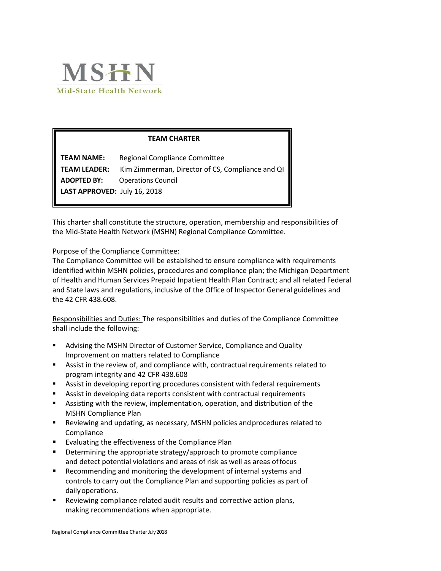

## **TEAM CHARTER**

**TEAM NAME:** Regional Compliance Committee **TEAM LEADER:** Kim Zimmerman, Director of CS, Compliance and QI **ADOPTED BY:** Operations Council **LAST APPROVED:** July 16, 2018

This charter shall constitute the structure, operation, membership and responsibilities of the Mid-State Health Network (MSHN) Regional Compliance Committee.

#### Purpose of the Compliance Committee:

The Compliance Committee will be established to ensure compliance with requirements identified within MSHN policies, procedures and compliance plan; the Michigan Department of Health and Human Services Prepaid Inpatient Health Plan Contract; and all related Federal and State laws and regulations, inclusive of the Office of Inspector General guidelines and the 42 CFR 438.608.

Responsibilities and Duties: The responsibilities and duties of the Compliance Committee shall include the following:

- Advising the MSHN Director of Customer Service, Compliance and Quality Improvement on matters related to Compliance
- Assist in the review of, and compliance with, contractual requirements related to program integrity and 42 CFR 438.608
- Assist in developing reporting procedures consistent with federal requirements
- Assist in developing data reports consistent with contractual requirements
- Assisting with the review, implementation, operation, and distribution of the MSHN Compliance Plan
- Reviewing and updating, as necessary, MSHN policies andprocedures related to Compliance
- **Evaluating the effectiveness of the Compliance Plan**
- **Determining the appropriate strategy/approach to promote compliance** and detect potential violations and areas of risk as well as areas offocus
- Recommending and monitoring the development of internal systems and controls to carry out the Compliance Plan and supporting policies as part of dailyoperations.
- Reviewing compliance related audit results and corrective action plans, making recommendations when appropriate.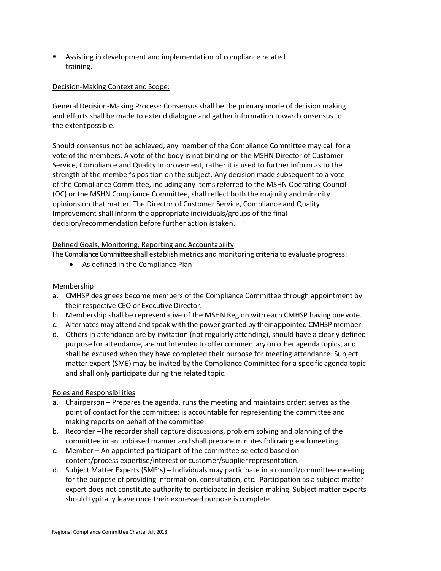Assisting in development and implementation of compliance related training.

### Decision-Making Context and Scope:

General Decision-Making Process: Consensus shall be the primary mode of decision making and efforts shall be made to extend dialogue and gather information toward consensus to the extentpossible.

Should consensus not be achieved, any member of the Compliance Committee may call for a vote of the members. A vote of the body is not binding on the MSHN Director of Customer Service, Compliance and Quality Improvement, rather it is used to further inform as to the strength of the member's position on the subject. Any decision made subsequent to a vote of the Compliance Committee, including any items referred to the MSHN Operating Council (OC) or the MSHN Compliance Committee, shall reflect both the majority and minority opinions on that matter. The Director of Customer Service, Compliance and Quality Improvement shall inform the appropriate individuals/groups of the final decision/recommendation before further action istaken.

## Defined Goals, Monitoring, Reporting and Accountability

The Compliance Committee shall establish metrics and monitoring criteria to evaluate progress:

• As defined in the Compliance Plan

#### Membership

- a. CMHSP designees become members of the Compliance Committee through appointment by their respective CEO or Executive Director.
- b. Membership shall be representative of the MSHN Region with each CMHSP having onevote.
- c. Alternates may attend and speak with the power granted by their appointed CMHSP member.
- d. Others in attendance are by invitation (not regularly attending), should have a clearly defined purpose for attendance, are not intended to offer commentary on other agenda topics, and shall be excused when they have completed their purpose for meeting attendance. Subject matter expert (SME) may be invited by the Compliance Committee for a specific agenda topic and shall only participate during the related topic.

#### Roles and Responsibilities

- a. Chairperson Prepares the agenda, runs the meeting and maintains order; serves as the point of contact for the committee; is accountable for representing the committee and making reports on behalf of the committee.
- b. Recorder –The recorder shall capture discussions, problem solving and planning of the committee in an unbiased manner and shall prepare minutes following eachmeeting.
- c. Member An appointed participant of the committee selected based on content/process expertise/interest or customer/supplierrepresentation.
- d. Subject Matter Experts (SME's) Individuals may participate in a council/committee meeting for the purpose of providing information, consultation, etc. Participation as a subject matter expert does not constitute authority to participate in decision making. Subject matter experts should typically leave once their expressed purpose is complete.